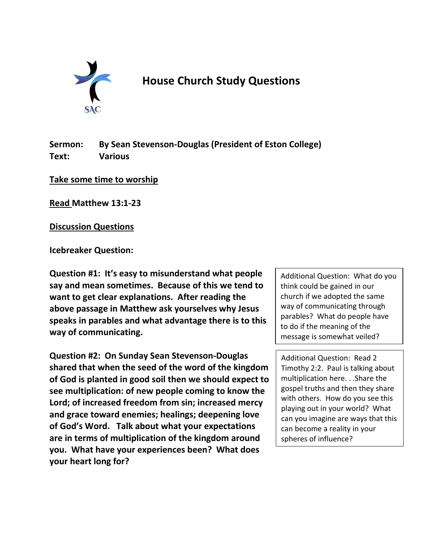

## **House Church Study Questions**

**Sermon: By Sean Stevenson-Douglas (President of Eston College) Text: Various**

**Take some time to worship**

**Read Matthew 13:1-23**

**Discussion Questions**

**Icebreaker Question:**

**Question #1: It's easy to misunderstand what people say and mean sometimes. Because of this we tend to want to get clear explanations. After reading the above passage in Matthew ask yourselves why Jesus speaks in parables and what advantage there is to this way of communicating.**

**Question #2: On Sunday Sean Stevenson-Douglas shared that when the seed of the word of the kingdom of God is planted in good soil then we should expect to see multiplication: of new people coming to know the Lord; of increased freedom from sin; increased mercy and grace toward enemies; healings; deepening love of God's Word. Talk about what your expectations are in terms of multiplication of the kingdom around you. What have your experiences been? What does your heart long for?**

Additional Question: What do you think could be gained in our church if we adopted the same way of communicating through parables? What do people have to do if the meaning of the message is somewhat veiled?

Additional Question: Read 2 Timothy 2:2. Paul is talking about multiplication here. . .Share the gospel truths and then they share with others. How do you see this playing out in your world? What can you imagine are ways that this can become a reality in your spheres of influence?